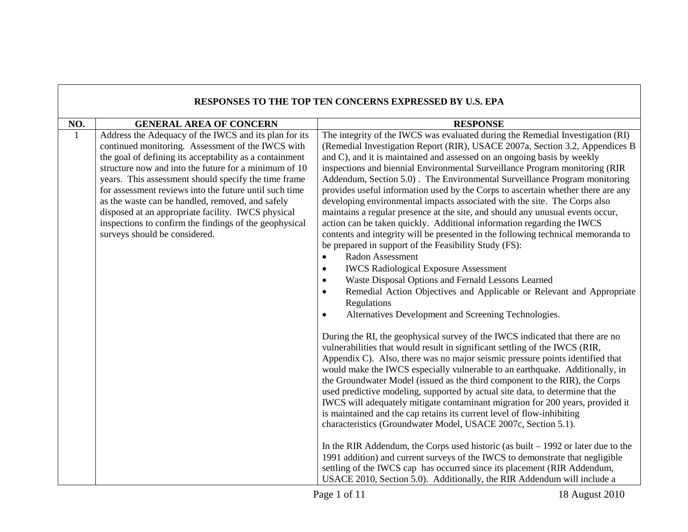|              |                                                                                                                                                                                                                                                                                                                                                                                                                                                                                                                                                       | <b>RESPONSES TO THE TOP TEN CONCERNS EXPRESSED BY U.S. EPA</b>                                                                                                                                                                                                                                                                                                                                                                                                                                                                                                                                                                                                                                                                                                                                                                                                                                                                                                                                                                                                                                                                                                                                                                                                                                                                                                                                                                                                                                                                                                                                                                                                                                                                                                                                                                                                                                                                                                                                                                                                                                                                                                                                                                                                             |
|--------------|-------------------------------------------------------------------------------------------------------------------------------------------------------------------------------------------------------------------------------------------------------------------------------------------------------------------------------------------------------------------------------------------------------------------------------------------------------------------------------------------------------------------------------------------------------|----------------------------------------------------------------------------------------------------------------------------------------------------------------------------------------------------------------------------------------------------------------------------------------------------------------------------------------------------------------------------------------------------------------------------------------------------------------------------------------------------------------------------------------------------------------------------------------------------------------------------------------------------------------------------------------------------------------------------------------------------------------------------------------------------------------------------------------------------------------------------------------------------------------------------------------------------------------------------------------------------------------------------------------------------------------------------------------------------------------------------------------------------------------------------------------------------------------------------------------------------------------------------------------------------------------------------------------------------------------------------------------------------------------------------------------------------------------------------------------------------------------------------------------------------------------------------------------------------------------------------------------------------------------------------------------------------------------------------------------------------------------------------------------------------------------------------------------------------------------------------------------------------------------------------------------------------------------------------------------------------------------------------------------------------------------------------------------------------------------------------------------------------------------------------------------------------------------------------------------------------------------------------|
| NO.          | <b>GENERAL AREA OF CONCERN</b>                                                                                                                                                                                                                                                                                                                                                                                                                                                                                                                        | <b>RESPONSE</b>                                                                                                                                                                                                                                                                                                                                                                                                                                                                                                                                                                                                                                                                                                                                                                                                                                                                                                                                                                                                                                                                                                                                                                                                                                                                                                                                                                                                                                                                                                                                                                                                                                                                                                                                                                                                                                                                                                                                                                                                                                                                                                                                                                                                                                                            |
| $\mathbf{1}$ | Address the Adequacy of the IWCS and its plan for its<br>continued monitoring. Assessment of the IWCS with<br>the goal of defining its acceptability as a containment<br>structure now and into the future for a minimum of 10<br>years. This assessment should specify the time frame<br>for assessment reviews into the future until such time<br>as the waste can be handled, removed, and safely<br>disposed at an appropriate facility. IWCS physical<br>inspections to confirm the findings of the geophysical<br>surveys should be considered. | The integrity of the IWCS was evaluated during the Remedial Investigation (RI)<br>(Remedial Investigation Report (RIR), USACE 2007a, Section 3.2, Appendices B<br>and C), and it is maintained and assessed on an ongoing basis by weekly<br>inspections and biennial Environmental Surveillance Program monitoring (RIR<br>Addendum, Section 5.0). The Environmental Surveillance Program monitoring<br>provides useful information used by the Corps to ascertain whether there are any<br>developing environmental impacts associated with the site. The Corps also<br>maintains a regular presence at the site, and should any unusual events occur,<br>action can be taken quickly. Additional information regarding the IWCS<br>contents and integrity will be presented in the following technical memoranda to<br>be prepared in support of the Feasibility Study (FS):<br><b>Radon Assessment</b><br>$\bullet$<br><b>IWCS Radiological Exposure Assessment</b><br>$\bullet$<br>Waste Disposal Options and Fernald Lessons Learned<br>Remedial Action Objectives and Applicable or Relevant and Appropriate<br>٠<br>Regulations<br>Alternatives Development and Screening Technologies.<br>$\bullet$<br>During the RI, the geophysical survey of the IWCS indicated that there are no<br>vulnerabilities that would result in significant settling of the IWCS (RIR,<br>Appendix C). Also, there was no major seismic pressure points identified that<br>would make the IWCS especially vulnerable to an earthquake. Additionally, in<br>the Groundwater Model (issued as the third component to the RIR), the Corps<br>used predictive modeling, supported by actual site data, to determine that the<br>IWCS will adequately mitigate contaminant migration for 200 years, provided it<br>is maintained and the cap retains its current level of flow-inhibiting<br>characteristics (Groundwater Model, USACE 2007c, Section 5.1).<br>In the RIR Addendum, the Corps used historic (as built $-1992$ or later due to the<br>1991 addition) and current surveys of the IWCS to demonstrate that negligible<br>settling of the IWCS cap has occurred since its placement (RIR Addendum,<br>USACE 2010, Section 5.0). Additionally, the RIR Addendum will include a |

ா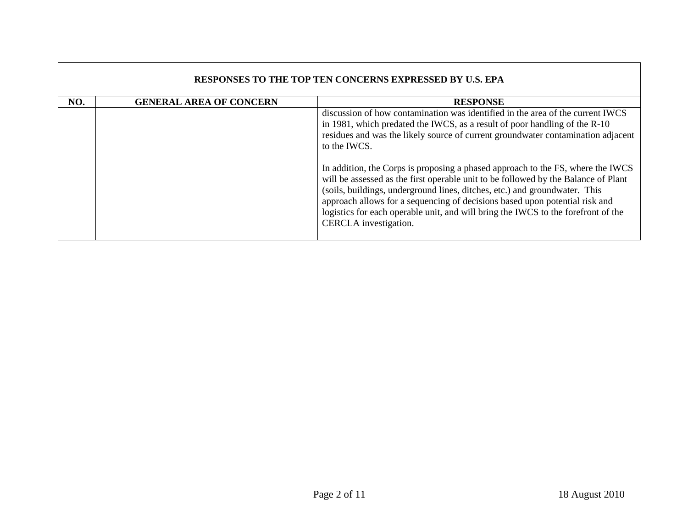|     | <b>RESPONSES TO THE TOP TEN CONCERNS EXPRESSED BY U.S. EPA</b> |                                                                                                                                                                                                                                                                                                                                                                                                                                                                                                                                                                                                                                                                                                                      |  |
|-----|----------------------------------------------------------------|----------------------------------------------------------------------------------------------------------------------------------------------------------------------------------------------------------------------------------------------------------------------------------------------------------------------------------------------------------------------------------------------------------------------------------------------------------------------------------------------------------------------------------------------------------------------------------------------------------------------------------------------------------------------------------------------------------------------|--|
| NO. | <b>GENERAL AREA OF CONCERN</b>                                 | <b>RESPONSE</b>                                                                                                                                                                                                                                                                                                                                                                                                                                                                                                                                                                                                                                                                                                      |  |
|     |                                                                | discussion of how contamination was identified in the area of the current IWCS<br>in 1981, which predated the IWCS, as a result of poor handling of the R-10<br>residues and was the likely source of current groundwater contamination adjacent<br>to the IWCS.<br>In addition, the Corps is proposing a phased approach to the FS, where the IWCS<br>will be assessed as the first operable unit to be followed by the Balance of Plant<br>(soils, buildings, underground lines, ditches, etc.) and groundwater. This<br>approach allows for a sequencing of decisions based upon potential risk and<br>logistics for each operable unit, and will bring the IWCS to the forefront of the<br>CERCLA investigation. |  |

 $\Gamma$ 

 $\mathcal{L}_{\mathcal{A}}$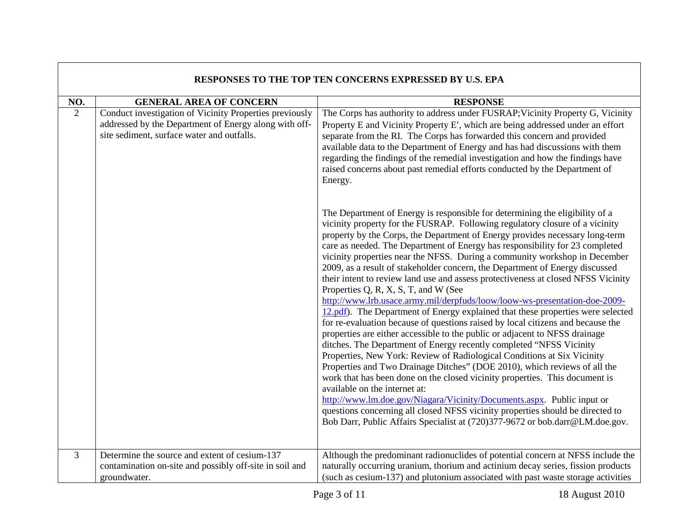| RESPONSES TO THE TOP TEN CONCERNS EXPRESSED BY U.S. EPA |                                                                                                                                                                |                                                                                                                                                                                                                                                                                                                                                                                                                                                                                                                                                                                                                                                                                                                                                                                                                                                                                                                                                                                                                                                                                                                                                                                                                                                                                                                                                                                                                                                                                                                                                       |
|---------------------------------------------------------|----------------------------------------------------------------------------------------------------------------------------------------------------------------|-------------------------------------------------------------------------------------------------------------------------------------------------------------------------------------------------------------------------------------------------------------------------------------------------------------------------------------------------------------------------------------------------------------------------------------------------------------------------------------------------------------------------------------------------------------------------------------------------------------------------------------------------------------------------------------------------------------------------------------------------------------------------------------------------------------------------------------------------------------------------------------------------------------------------------------------------------------------------------------------------------------------------------------------------------------------------------------------------------------------------------------------------------------------------------------------------------------------------------------------------------------------------------------------------------------------------------------------------------------------------------------------------------------------------------------------------------------------------------------------------------------------------------------------------------|
| NO.                                                     | <b>GENERAL AREA OF CONCERN</b>                                                                                                                                 | <b>RESPONSE</b>                                                                                                                                                                                                                                                                                                                                                                                                                                                                                                                                                                                                                                                                                                                                                                                                                                                                                                                                                                                                                                                                                                                                                                                                                                                                                                                                                                                                                                                                                                                                       |
| $\overline{2}$                                          | Conduct investigation of Vicinity Properties previously<br>addressed by the Department of Energy along with off-<br>site sediment, surface water and outfalls. | The Corps has authority to address under FUSRAP; Vicinity Property G, Vicinity<br>Property E and Vicinity Property E', which are being addressed under an effort<br>separate from the RI. The Corps has forwarded this concern and provided<br>available data to the Department of Energy and has had discussions with them<br>regarding the findings of the remedial investigation and how the findings have<br>raised concerns about past remedial efforts conducted by the Department of<br>Energy.                                                                                                                                                                                                                                                                                                                                                                                                                                                                                                                                                                                                                                                                                                                                                                                                                                                                                                                                                                                                                                                |
|                                                         |                                                                                                                                                                | The Department of Energy is responsible for determining the eligibility of a<br>vicinity property for the FUSRAP. Following regulatory closure of a vicinity<br>property by the Corps, the Department of Energy provides necessary long-term<br>care as needed. The Department of Energy has responsibility for 23 completed<br>vicinity properties near the NFSS. During a community workshop in December<br>2009, as a result of stakeholder concern, the Department of Energy discussed<br>their intent to review land use and assess protectiveness at closed NFSS Vicinity<br>Properties Q, R, X, S, T, and W (See<br>http://www.lrb.usace.army.mil/derpfuds/loow/loow-ws-presentation-doe-2009-<br>12.pdf). The Department of Energy explained that these properties were selected<br>for re-evaluation because of questions raised by local citizens and because the<br>properties are either accessible to the public or adjacent to NFSS drainage<br>ditches. The Department of Energy recently completed "NFSS Vicinity<br>Properties, New York: Review of Radiological Conditions at Six Vicinity<br>Properties and Two Drainage Ditches" (DOE 2010), which reviews of all the<br>work that has been done on the closed vicinity properties. This document is<br>available on the internet at:<br>http://www.lm.doe.gov/Niagara/Vicinity/Documents.aspx. Public input or<br>questions concerning all closed NFSS vicinity properties should be directed to<br>Bob Darr, Public Affairs Specialist at (720)377-9672 or bob.darr@LM.doe.gov. |
| 3                                                       | Determine the source and extent of cesium-137<br>contamination on-site and possibly off-site in soil and<br>groundwater.                                       | Although the predominant radionuclides of potential concern at NFSS include the<br>naturally occurring uranium, thorium and actinium decay series, fission products<br>(such as cesium-137) and plutonium associated with past waste storage activities                                                                                                                                                                                                                                                                                                                                                                                                                                                                                                                                                                                                                                                                                                                                                                                                                                                                                                                                                                                                                                                                                                                                                                                                                                                                                               |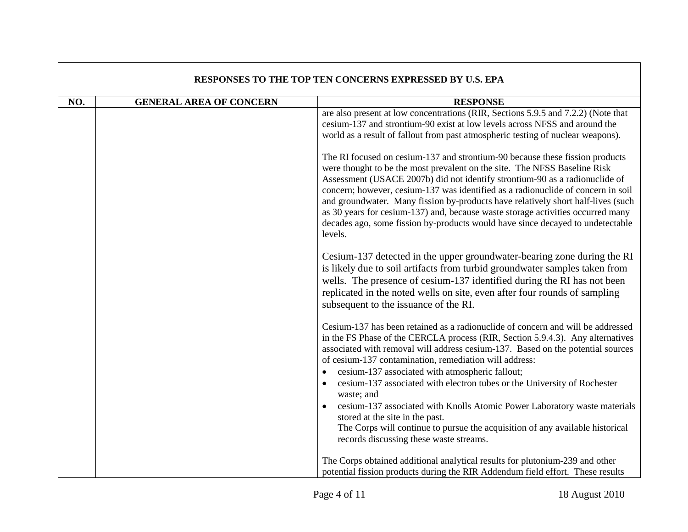| RESPONSES TO THE TOP TEN CONCERNS EXPRESSED BY U.S. EPA |                                |                                                                                                                                                                                                                                                                                                                                                                                                                                                                                                                                                                                                                                                                                                         |
|---------------------------------------------------------|--------------------------------|---------------------------------------------------------------------------------------------------------------------------------------------------------------------------------------------------------------------------------------------------------------------------------------------------------------------------------------------------------------------------------------------------------------------------------------------------------------------------------------------------------------------------------------------------------------------------------------------------------------------------------------------------------------------------------------------------------|
| NO.                                                     | <b>GENERAL AREA OF CONCERN</b> | <b>RESPONSE</b>                                                                                                                                                                                                                                                                                                                                                                                                                                                                                                                                                                                                                                                                                         |
|                                                         |                                | are also present at low concentrations (RIR, Sections 5.9.5 and 7.2.2) (Note that<br>cesium-137 and strontium-90 exist at low levels across NFSS and around the<br>world as a result of fallout from past atmospheric testing of nuclear weapons).                                                                                                                                                                                                                                                                                                                                                                                                                                                      |
|                                                         |                                | The RI focused on cesium-137 and strontium-90 because these fission products<br>were thought to be the most prevalent on the site. The NFSS Baseline Risk<br>Assessment (USACE 2007b) did not identify strontium-90 as a radionuclide of<br>concern; however, cesium-137 was identified as a radionuclide of concern in soil<br>and groundwater. Many fission by-products have relatively short half-lives (such<br>as 30 years for cesium-137) and, because waste storage activities occurred many<br>decades ago, some fission by-products would have since decayed to undetectable<br>levels.                                                                                                        |
|                                                         |                                | Cesium-137 detected in the upper groundwater-bearing zone during the RI<br>is likely due to soil artifacts from turbid groundwater samples taken from<br>wells. The presence of cesium-137 identified during the RI has not been<br>replicated in the noted wells on site, even after four rounds of sampling<br>subsequent to the issuance of the RI.                                                                                                                                                                                                                                                                                                                                                  |
|                                                         |                                | Cesium-137 has been retained as a radionuclide of concern and will be addressed<br>in the FS Phase of the CERCLA process (RIR, Section 5.9.4.3). Any alternatives<br>associated with removal will address cesium-137. Based on the potential sources<br>of cesium-137 contamination, remediation will address:<br>cesium-137 associated with atmospheric fallout;<br>cesium-137 associated with electron tubes or the University of Rochester<br>waste; and<br>cesium-137 associated with Knolls Atomic Power Laboratory waste materials<br>stored at the site in the past.<br>The Corps will continue to pursue the acquisition of any available historical<br>records discussing these waste streams. |
|                                                         |                                | The Corps obtained additional analytical results for plutonium-239 and other<br>potential fission products during the RIR Addendum field effort. These results                                                                                                                                                                                                                                                                                                                                                                                                                                                                                                                                          |

## **RESPONSES TO THE TOP TEN CONCERNS EXPRESSED BY U.S. EPA**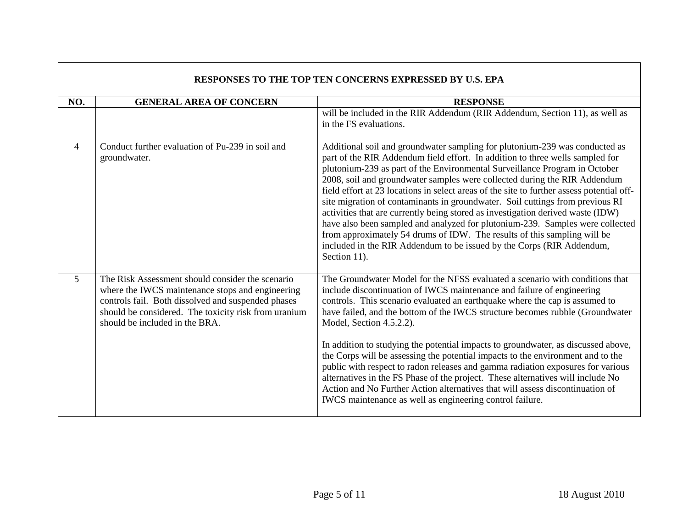| <b>RESPONSES TO THE TOP TEN CONCERNS EXPRESSED BY U.S. EPA</b> |                                                                                                                                                                                                                                                      |                                                                                                                                                                                                                                                                                                                                                                                                                                                                                                                                                                                                                                                                                                                                                                                                                                                |
|----------------------------------------------------------------|------------------------------------------------------------------------------------------------------------------------------------------------------------------------------------------------------------------------------------------------------|------------------------------------------------------------------------------------------------------------------------------------------------------------------------------------------------------------------------------------------------------------------------------------------------------------------------------------------------------------------------------------------------------------------------------------------------------------------------------------------------------------------------------------------------------------------------------------------------------------------------------------------------------------------------------------------------------------------------------------------------------------------------------------------------------------------------------------------------|
| NO.                                                            | <b>GENERAL AREA OF CONCERN</b>                                                                                                                                                                                                                       | <b>RESPONSE</b>                                                                                                                                                                                                                                                                                                                                                                                                                                                                                                                                                                                                                                                                                                                                                                                                                                |
|                                                                |                                                                                                                                                                                                                                                      | will be included in the RIR Addendum (RIR Addendum, Section 11), as well as<br>in the FS evaluations.                                                                                                                                                                                                                                                                                                                                                                                                                                                                                                                                                                                                                                                                                                                                          |
| $\overline{4}$                                                 | Conduct further evaluation of Pu-239 in soil and<br>groundwater.                                                                                                                                                                                     | Additional soil and groundwater sampling for plutonium-239 was conducted as<br>part of the RIR Addendum field effort. In addition to three wells sampled for<br>plutonium-239 as part of the Environmental Surveillance Program in October<br>2008, soil and groundwater samples were collected during the RIR Addendum<br>field effort at 23 locations in select areas of the site to further assess potential off-<br>site migration of contaminants in groundwater. Soil cuttings from previous RI<br>activities that are currently being stored as investigation derived waste (IDW)<br>have also been sampled and analyzed for plutonium-239. Samples were collected<br>from approximately 54 drums of IDW. The results of this sampling will be<br>included in the RIR Addendum to be issued by the Corps (RIR Addendum,<br>Section 11). |
| 5 <sup>5</sup>                                                 | The Risk Assessment should consider the scenario<br>where the IWCS maintenance stops and engineering<br>controls fail. Both dissolved and suspended phases<br>should be considered. The toxicity risk from uranium<br>should be included in the BRA. | The Groundwater Model for the NFSS evaluated a scenario with conditions that<br>include discontinuation of IWCS maintenance and failure of engineering<br>controls. This scenario evaluated an earthquake where the cap is assumed to<br>have failed, and the bottom of the IWCS structure becomes rubble (Groundwater<br>Model, Section 4.5.2.2).<br>In addition to studying the potential impacts to groundwater, as discussed above,<br>the Corps will be assessing the potential impacts to the environment and to the<br>public with respect to radon releases and gamma radiation exposures for various<br>alternatives in the FS Phase of the project. These alternatives will include No<br>Action and No Further Action alternatives that will assess discontinuation of<br>IWCS maintenance as well as engineering control failure.  |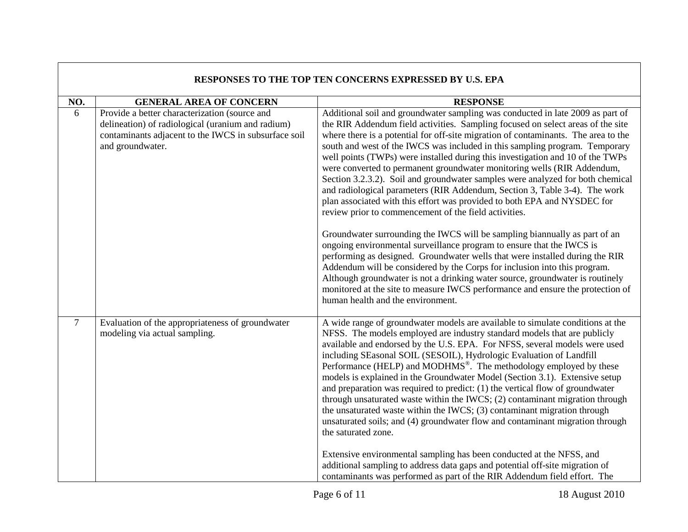| RESPONSES TO THE TOP TEN CONCERNS EXPRESSED BY U.S. EPA |                                                                                                                                                                                |                                                                                                                                                                                                                                                                                                                                                                                                                                                                                                                                                                                                                                                                                                                                                                                                                                                                                                               |
|---------------------------------------------------------|--------------------------------------------------------------------------------------------------------------------------------------------------------------------------------|---------------------------------------------------------------------------------------------------------------------------------------------------------------------------------------------------------------------------------------------------------------------------------------------------------------------------------------------------------------------------------------------------------------------------------------------------------------------------------------------------------------------------------------------------------------------------------------------------------------------------------------------------------------------------------------------------------------------------------------------------------------------------------------------------------------------------------------------------------------------------------------------------------------|
| NO.                                                     | <b>GENERAL AREA OF CONCERN</b>                                                                                                                                                 | <b>RESPONSE</b>                                                                                                                                                                                                                                                                                                                                                                                                                                                                                                                                                                                                                                                                                                                                                                                                                                                                                               |
| 6                                                       | Provide a better characterization (source and<br>delineation) of radiological (uranium and radium)<br>contaminants adjacent to the IWCS in subsurface soil<br>and groundwater. | Additional soil and groundwater sampling was conducted in late 2009 as part of<br>the RIR Addendum field activities. Sampling focused on select areas of the site<br>where there is a potential for off-site migration of contaminants. The area to the<br>south and west of the IWCS was included in this sampling program. Temporary<br>well points (TWPs) were installed during this investigation and 10 of the TWPs<br>were converted to permanent groundwater monitoring wells (RIR Addendum,<br>Section 3.2.3.2). Soil and groundwater samples were analyzed for both chemical<br>and radiological parameters (RIR Addendum, Section 3, Table 3-4). The work<br>plan associated with this effort was provided to both EPA and NYSDEC for<br>review prior to commencement of the field activities.                                                                                                      |
|                                                         |                                                                                                                                                                                | Groundwater surrounding the IWCS will be sampling biannually as part of an<br>ongoing environmental surveillance program to ensure that the IWCS is<br>performing as designed. Groundwater wells that were installed during the RIR<br>Addendum will be considered by the Corps for inclusion into this program.<br>Although groundwater is not a drinking water source, groundwater is routinely<br>monitored at the site to measure IWCS performance and ensure the protection of<br>human health and the environment.                                                                                                                                                                                                                                                                                                                                                                                      |
| $\overline{7}$                                          | Evaluation of the appropriateness of groundwater<br>modeling via actual sampling.                                                                                              | A wide range of groundwater models are available to simulate conditions at the<br>NFSS. The models employed are industry standard models that are publicly<br>available and endorsed by the U.S. EPA. For NFSS, several models were used<br>including SEasonal SOIL (SESOIL), Hydrologic Evaluation of Landfill<br>Performance (HELP) and MODHMS <sup>®</sup> . The methodology employed by these<br>models is explained in the Groundwater Model (Section 3.1). Extensive setup<br>and preparation was required to predict: (1) the vertical flow of groundwater<br>through unsaturated waste within the IWCS; (2) contaminant migration through<br>the unsaturated waste within the IWCS; (3) contaminant migration through<br>unsaturated soils; and (4) groundwater flow and contaminant migration through<br>the saturated zone.<br>Extensive environmental sampling has been conducted at the NFSS, and |
|                                                         |                                                                                                                                                                                | additional sampling to address data gaps and potential off-site migration of<br>contaminants was performed as part of the RIR Addendum field effort. The                                                                                                                                                                                                                                                                                                                                                                                                                                                                                                                                                                                                                                                                                                                                                      |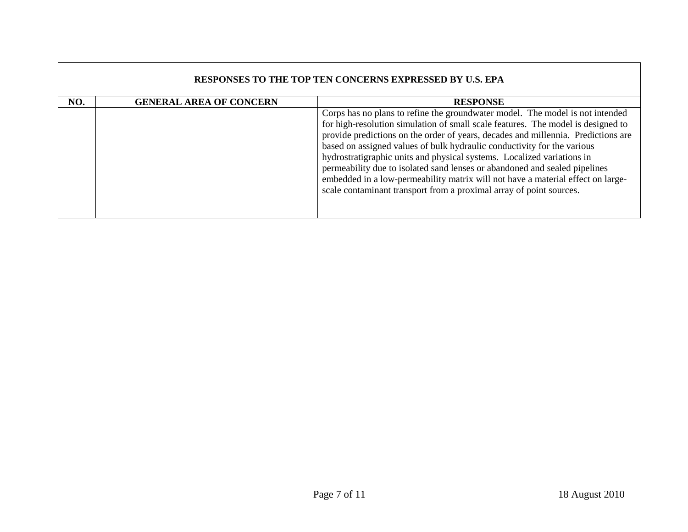| <b>RESPONSES TO THE TOP TEN CONCERNS EXPRESSED BY U.S. EPA</b> |                                |                                                                                                                                                                                                                                                                                                                                                                                                                                                                                                                                                                                                                                                     |
|----------------------------------------------------------------|--------------------------------|-----------------------------------------------------------------------------------------------------------------------------------------------------------------------------------------------------------------------------------------------------------------------------------------------------------------------------------------------------------------------------------------------------------------------------------------------------------------------------------------------------------------------------------------------------------------------------------------------------------------------------------------------------|
| NO.                                                            | <b>GENERAL AREA OF CONCERN</b> | <b>RESPONSE</b>                                                                                                                                                                                                                                                                                                                                                                                                                                                                                                                                                                                                                                     |
|                                                                |                                | Corps has no plans to refine the groundwater model. The model is not intended<br>for high-resolution simulation of small scale features. The model is designed to<br>provide predictions on the order of years, decades and millennia. Predictions are<br>based on assigned values of bulk hydraulic conductivity for the various<br>hydrostratigraphic units and physical systems. Localized variations in<br>permeability due to isolated sand lenses or abandoned and sealed pipelines<br>embedded in a low-permeability matrix will not have a material effect on large-<br>scale contaminant transport from a proximal array of point sources. |

 $\Box$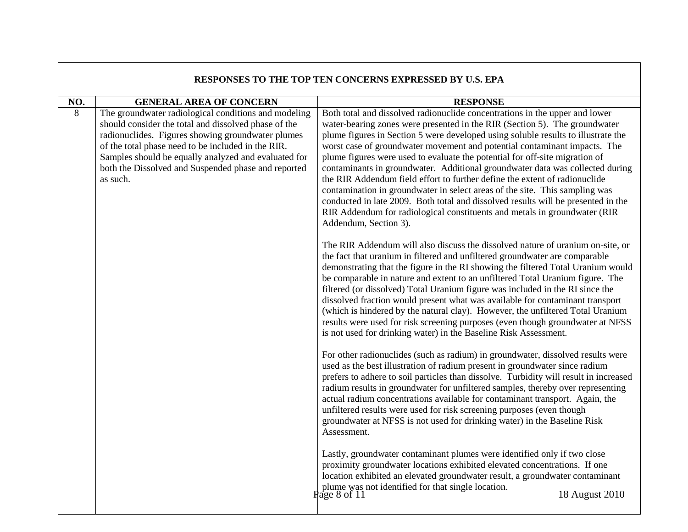| RESPONSES TO THE TOP TEN CONCERNS EXPRESSED BY U.S. EPA |                                                                                                                                                                                                                                                                                                                                                    |                                                                                                                                                                                                                                                                                                                                                                                                                                                                                                                                                                                                                                                                                                                                                                                                                                                     |
|---------------------------------------------------------|----------------------------------------------------------------------------------------------------------------------------------------------------------------------------------------------------------------------------------------------------------------------------------------------------------------------------------------------------|-----------------------------------------------------------------------------------------------------------------------------------------------------------------------------------------------------------------------------------------------------------------------------------------------------------------------------------------------------------------------------------------------------------------------------------------------------------------------------------------------------------------------------------------------------------------------------------------------------------------------------------------------------------------------------------------------------------------------------------------------------------------------------------------------------------------------------------------------------|
| NO.                                                     | <b>GENERAL AREA OF CONCERN</b>                                                                                                                                                                                                                                                                                                                     | <b>RESPONSE</b>                                                                                                                                                                                                                                                                                                                                                                                                                                                                                                                                                                                                                                                                                                                                                                                                                                     |
| 8                                                       | The groundwater radiological conditions and modeling<br>should consider the total and dissolved phase of the<br>radionuclides. Figures showing groundwater plumes<br>of the total phase need to be included in the RIR.<br>Samples should be equally analyzed and evaluated for<br>both the Dissolved and Suspended phase and reported<br>as such. | Both total and dissolved radionuclide concentrations in the upper and lower<br>water-bearing zones were presented in the RIR (Section 5). The groundwater<br>plume figures in Section 5 were developed using soluble results to illustrate the<br>worst case of groundwater movement and potential contaminant impacts. The<br>plume figures were used to evaluate the potential for off-site migration of<br>contaminants in groundwater. Additional groundwater data was collected during<br>the RIR Addendum field effort to further define the extent of radionuclide<br>contamination in groundwater in select areas of the site. This sampling was<br>conducted in late 2009. Both total and dissolved results will be presented in the<br>RIR Addendum for radiological constituents and metals in groundwater (RIR<br>Addendum, Section 3). |
|                                                         |                                                                                                                                                                                                                                                                                                                                                    | The RIR Addendum will also discuss the dissolved nature of uranium on-site, or<br>the fact that uranium in filtered and unfiltered groundwater are comparable<br>demonstrating that the figure in the RI showing the filtered Total Uranium would<br>be comparable in nature and extent to an unfiltered Total Uranium figure. The<br>filtered (or dissolved) Total Uranium figure was included in the RI since the<br>dissolved fraction would present what was available for contaminant transport<br>(which is hindered by the natural clay). However, the unfiltered Total Uranium<br>results were used for risk screening purposes (even though groundwater at NFSS<br>is not used for drinking water) in the Baseline Risk Assessment.                                                                                                        |
|                                                         |                                                                                                                                                                                                                                                                                                                                                    | For other radionuclides (such as radium) in groundwater, dissolved results were<br>used as the best illustration of radium present in groundwater since radium<br>prefers to adhere to soil particles than dissolve. Turbidity will result in increased<br>radium results in groundwater for unfiltered samples, thereby over representing<br>actual radium concentrations available for contaminant transport. Again, the<br>unfiltered results were used for risk screening purposes (even though<br>groundwater at NFSS is not used for drinking water) in the Baseline Risk<br>Assessment.                                                                                                                                                                                                                                                      |
|                                                         |                                                                                                                                                                                                                                                                                                                                                    | Lastly, groundwater contaminant plumes were identified only if two close<br>proximity groundwater locations exhibited elevated concentrations. If one<br>location exhibited an elevated groundwater result, a groundwater contaminant<br>plume was not identified for that single location.<br>18 August 2010<br>Page 8 of $11$                                                                                                                                                                                                                                                                                                                                                                                                                                                                                                                     |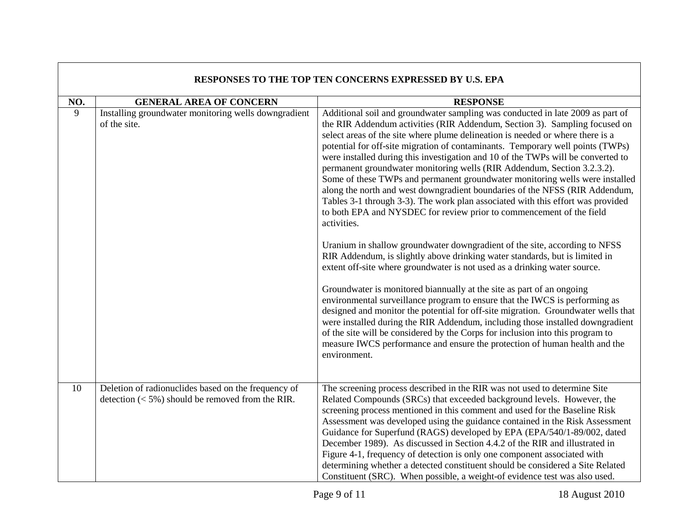| RESPONSES TO THE TOP TEN CONCERNS EXPRESSED BY U.S. EPA |                                                                                                            |                                                                                                                                                                                                                                                                                                                                                                                                                                                                                                                                                                                                                                                                                                                                                                                                                                          |
|---------------------------------------------------------|------------------------------------------------------------------------------------------------------------|------------------------------------------------------------------------------------------------------------------------------------------------------------------------------------------------------------------------------------------------------------------------------------------------------------------------------------------------------------------------------------------------------------------------------------------------------------------------------------------------------------------------------------------------------------------------------------------------------------------------------------------------------------------------------------------------------------------------------------------------------------------------------------------------------------------------------------------|
| NO.                                                     | <b>GENERAL AREA OF CONCERN</b>                                                                             | <b>RESPONSE</b>                                                                                                                                                                                                                                                                                                                                                                                                                                                                                                                                                                                                                                                                                                                                                                                                                          |
| $\overline{9}$                                          | Installing groundwater monitoring wells downgradient<br>of the site.                                       | Additional soil and groundwater sampling was conducted in late 2009 as part of<br>the RIR Addendum activities (RIR Addendum, Section 3). Sampling focused on<br>select areas of the site where plume delineation is needed or where there is a<br>potential for off-site migration of contaminants. Temporary well points (TWPs)<br>were installed during this investigation and 10 of the TWPs will be converted to<br>permanent groundwater monitoring wells (RIR Addendum, Section 3.2.3.2).<br>Some of these TWPs and permanent groundwater monitoring wells were installed<br>along the north and west downgradient boundaries of the NFSS (RIR Addendum,<br>Tables 3-1 through 3-3). The work plan associated with this effort was provided<br>to both EPA and NYSDEC for review prior to commencement of the field<br>activities. |
|                                                         |                                                                                                            | Uranium in shallow groundwater downgradient of the site, according to NFSS<br>RIR Addendum, is slightly above drinking water standards, but is limited in<br>extent off-site where groundwater is not used as a drinking water source.                                                                                                                                                                                                                                                                                                                                                                                                                                                                                                                                                                                                   |
|                                                         |                                                                                                            | Groundwater is monitored biannually at the site as part of an ongoing<br>environmental surveillance program to ensure that the IWCS is performing as<br>designed and monitor the potential for off-site migration. Groundwater wells that<br>were installed during the RIR Addendum, including those installed downgradient<br>of the site will be considered by the Corps for inclusion into this program to<br>measure IWCS performance and ensure the protection of human health and the<br>environment.                                                                                                                                                                                                                                                                                                                              |
| 10                                                      | Deletion of radionuclides based on the frequency of<br>detection $(< 5\%)$ should be removed from the RIR. | The screening process described in the RIR was not used to determine Site<br>Related Compounds (SRCs) that exceeded background levels. However, the<br>screening process mentioned in this comment and used for the Baseline Risk<br>Assessment was developed using the guidance contained in the Risk Assessment<br>Guidance for Superfund (RAGS) developed by EPA (EPA/540/1-89/002, dated<br>December 1989). As discussed in Section 4.4.2 of the RIR and illustrated in<br>Figure 4-1, frequency of detection is only one component associated with<br>determining whether a detected constituent should be considered a Site Related<br>Constituent (SRC). When possible, a weight-of evidence test was also used.                                                                                                                  |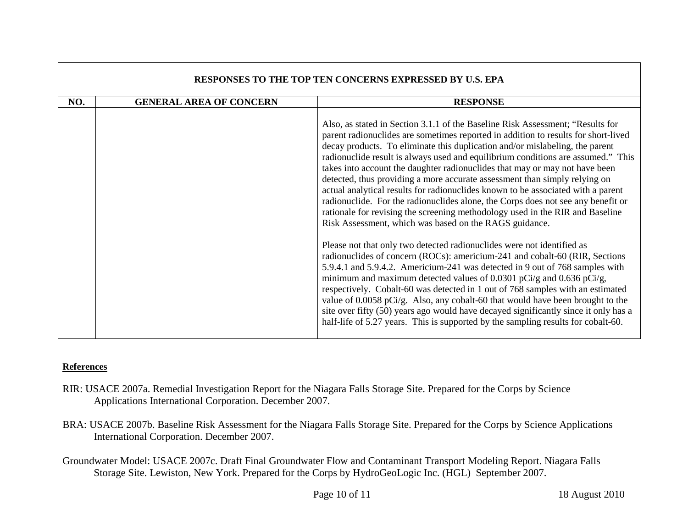| RESPONSES TO THE TOP TEN CONCERNS EXPRESSED BY U.S. EPA |                                |                                                                                                                                                                                                                                                                                                                                                                                                                                                                                                                                                                                                                                                                                                                                                                                                                          |
|---------------------------------------------------------|--------------------------------|--------------------------------------------------------------------------------------------------------------------------------------------------------------------------------------------------------------------------------------------------------------------------------------------------------------------------------------------------------------------------------------------------------------------------------------------------------------------------------------------------------------------------------------------------------------------------------------------------------------------------------------------------------------------------------------------------------------------------------------------------------------------------------------------------------------------------|
| NO.                                                     | <b>GENERAL AREA OF CONCERN</b> | <b>RESPONSE</b>                                                                                                                                                                                                                                                                                                                                                                                                                                                                                                                                                                                                                                                                                                                                                                                                          |
|                                                         |                                | Also, as stated in Section 3.1.1 of the Baseline Risk Assessment; "Results for<br>parent radionuclides are sometimes reported in addition to results for short-lived<br>decay products. To eliminate this duplication and/or mislabeling, the parent<br>radionuclide result is always used and equilibrium conditions are assumed." This<br>takes into account the daughter radionuclides that may or may not have been<br>detected, thus providing a more accurate assessment than simply relying on<br>actual analytical results for radionuclides known to be associated with a parent<br>radionuclide. For the radionuclides alone, the Corps does not see any benefit or<br>rationale for revising the screening methodology used in the RIR and Baseline<br>Risk Assessment, which was based on the RAGS guidance. |
|                                                         |                                | Please not that only two detected radionuclides were not identified as<br>radionuclides of concern (ROCs): americium-241 and cobalt-60 (RIR, Sections<br>5.9.4.1 and 5.9.4.2. Americium-241 was detected in 9 out of 768 samples with<br>minimum and maximum detected values of 0.0301 pCi/g and 0.636 pCi/g,<br>respectively. Cobalt-60 was detected in 1 out of 768 samples with an estimated<br>value of 0.0058 pCi/g. Also, any cobalt-60 that would have been brought to the<br>site over fifty (50) years ago would have decayed significantly since it only has a<br>half-life of 5.27 years. This is supported by the sampling results for cobalt-60.                                                                                                                                                            |

## **References**

- RIR: USACE 2007a. Remedial Investigation Report for the Niagara Falls Storage Site. Prepared for the Corps by Science Applications International Corporation. December 2007.
- BRA: USACE 2007b. Baseline Risk Assessment for the Niagara Falls Storage Site. Prepared for the Corps by Science Applications International Corporation. December 2007.
- Groundwater Model: USACE 2007c. Draft Final Groundwater Flow and Contaminant Transport Modeling Report. Niagara Falls Storage Site. Lewiston, New York. Prepared for the Corps by HydroGeoLogic Inc. (HGL) September 2007.